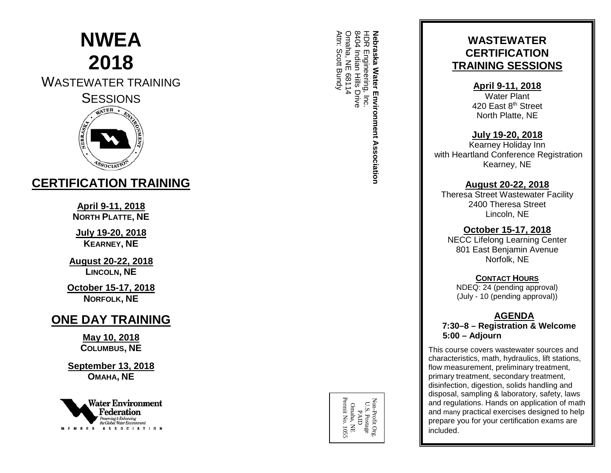# **NWEA 2018**

# WASTEWATER TRAINING SESSIONS



# **CERTIFICATION TRAINING**

**April 9 -11, 2018 NORTH PLATTE , NE**

**July 19 -20, 201 8 KEARNEY , NE**

**August 20 -22, 2018 LINCOLN , NE**

**October 15 -17, 2018 NORFOLK , NE**

# **ONE DAY TRAINING**

**May 10, 201 8 COLUMBUS , NE**

**September 13, 2018 OMAHA, NE**



HDR Engineering, Inc.<br>8404 Indian Hills Drive<br>Omaha, NE 68114 Omaha, NE 68114 8404 Indian Hills Drive **Nebraska Water Environment Association** Attn: Scott Bundy **Nebraska** Scott Bundy Engineering, Inc. Water Environment Association

Omaha, NE<br>Permit No. 1055 Non-Profit Org.<br>U.S. Postage<br>PAID Permit No. 1055Non-Profit Org. U.S. Postage Omaha, NE

## **WASTEWATER CERTIFICATION TRAINING SESSIONS**

**April 9 -11, 2018**

Water Plant 420 East 8<sup>th</sup> Street North Platte, NE

#### **July 19 -20, 201 8**

Kearney Holiday Inn with Heartland Conference Registration Kearney, NE

#### **August 20 -22, 2018**

Theresa Street Wastewater Facility 2400 Theresa Street Lincoln, NE

#### **October 15 -17, 2018**

NECC Lifelong Learning Center 801 East Benjamin Avenue Norfolk, NE

#### **CONTACT HOURS**

NDEQ: 24 (pending approval) (July - 10 (pending approval))

#### **AGENDA 7:30 – 8 – Registration & Welcome 5:00 – Adjourn**

This course covers wastewater sources and characteristics, math, hydraulics, lift stations, flow measurement, preliminary treatment, primary treatment, secondary treatment, disinfection, digestion, solids handling and disposal, sampling & laboratory, safety, laws and regulations. Hands on application of math and many practical exercises designed to help prepare you for your certification exams are included.